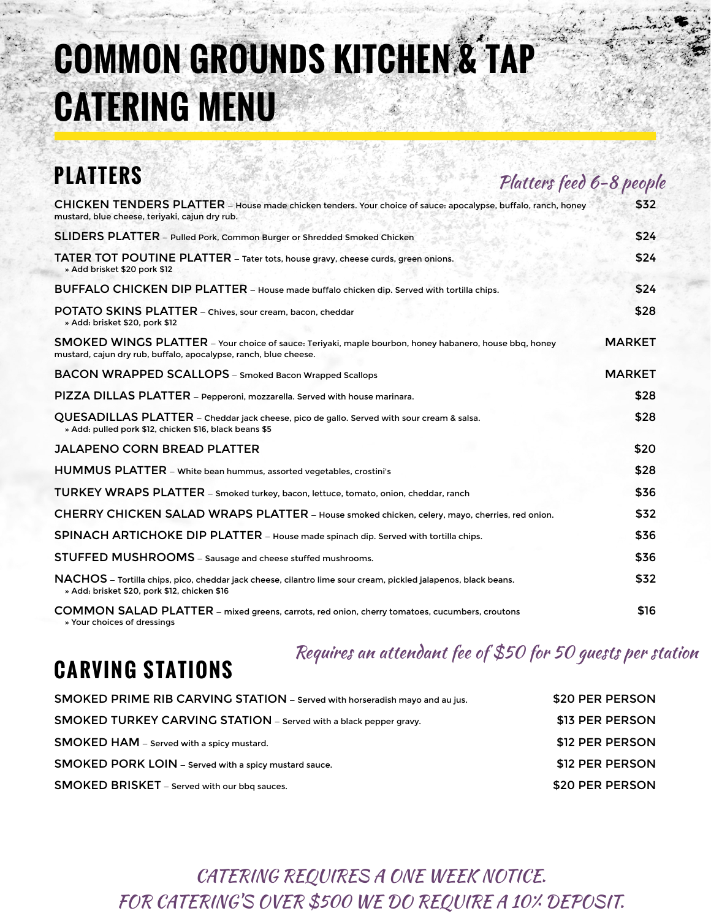# **COMMON GROUNDS KITCHEN & TAP CATERING MENU**

## **PLATTERS**

Platters feed 6-8 people

| CHICKEN TENDERS PLATTER - House made chicken tenders. Your choice of sauce: apocalypse, buffalo, ranch, honey<br>mustard, blue cheese, teriyaki, cajun dry rub.            | \$32          |
|----------------------------------------------------------------------------------------------------------------------------------------------------------------------------|---------------|
| SLIDERS PLATTER - Pulled Pork, Common Burger or Shredded Smoked Chicken                                                                                                    | \$24          |
| TATER TOT POUTINE PLATTER - Tater tots, house gravy, cheese curds, green onions.<br>» Add brisket \$20 pork \$12                                                           | \$24          |
| BUFFALO CHICKEN DIP PLATTER - House made buffalo chicken dip. Served with tortilla chips.                                                                                  | \$24          |
| POTATO SKINS PLATTER - Chives, sour cream, bacon, cheddar<br>» Add: brisket \$20, pork \$12                                                                                | \$28          |
| SMOKED WINGS PLATTER - Your choice of sauce: Teriyaki, maple bourbon, honey habanero, house bbq, honey<br>mustard, cajun dry rub, buffalo, apocalypse, ranch, blue cheese. | <b>MARKET</b> |
| <b>BACON WRAPPED SCALLOPS</b> - Smoked Bacon Wrapped Scallops                                                                                                              | <b>MARKET</b> |
| PIZZA DILLAS PLATTER - Pepperoni, mozzarella. Served with house marinara.                                                                                                  | \$28          |
| QUESADILLAS PLATTER - Cheddar jack cheese, pico de gallo. Served with sour cream & salsa.<br>» Add: pulled pork \$12, chicken \$16, black beans \$5                        | \$28          |
| <b>JALAPENO CORN BREAD PLATTER</b>                                                                                                                                         | \$20          |
| HUMMUS PLATTER - White bean hummus, assorted vegetables, crostini's                                                                                                        | \$28          |
| TURKEY WRAPS PLATTER - Smoked turkey, bacon, lettuce, tomato, onion, cheddar, ranch                                                                                        | \$36          |
| CHERRY CHICKEN SALAD WRAPS PLATTER - House smoked chicken, celery, mayo, cherries, red onion.                                                                              | \$32          |
| SPINACH ARTICHOKE DIP PLATTER - House made spinach dip. Served with tortilla chips.                                                                                        | \$36          |
| STUFFED MUSHROOMS - Sausage and cheese stuffed mushrooms.                                                                                                                  | \$36          |
| NACHOS - Tortilla chips, pico, cheddar jack cheese, cilantro lime sour cream, pickled jalapenos, black beans.<br>» Add: brisket \$20, pork \$12, chicken \$16              | \$32          |
| COMMON SALAD PLATTER - mixed greens, carrots, red onion, cherry tomatoes, cucumbers, croutons<br>Vour choicas of droccings                                                 | \$16          |

» Your choices of dressings

**CARVING STATIONS**

#### Requires an attendant fee of \$50 for 50 guests per station

| <b>SMOKED PRIME RIB CARVING STATION</b> – Served with horseradish mayo and au jus. | \$20 PER PERSON |
|------------------------------------------------------------------------------------|-----------------|
| <b>SMOKED TURKEY CARVING STATION</b> – Served with a black pepper gravy.           | \$13 PER PERSON |
| <b>SMOKED HAM</b> - Served with a spicy mustard.                                   | \$12 PER PERSON |
| <b>SMOKED PORK LOIN</b> – Served with a spicy mustard sauce.                       | \$12 PER PERSON |
| SMOKED BRISKET - Served with our bbq sauces.                                       | \$20 PER PERSON |

CATERING REQUIRES A ONE WEEK NOTICE. FOR CATERING'S OVER \$500 WE DO REQUIRE A 10% DEPOSIT.